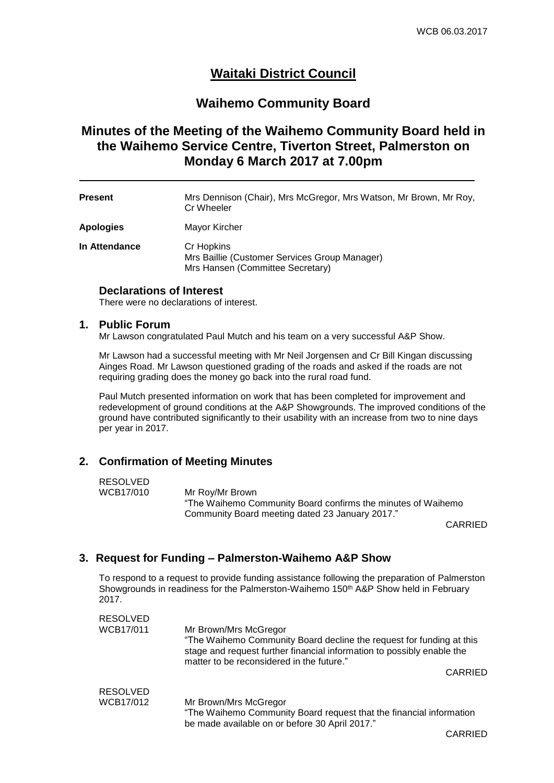## **Waitaki District Council**

## **Waihemo Community Board**

## **Minutes of the Meeting of the Waihemo Community Board held in the Waihemo Service Centre, Tiverton Street, Palmerston on Monday 6 March 2017 at 7.00pm**

| <b>Present</b> | Mrs Dennison (Chair), Mrs McGregor, Mrs Watson, Mr Brown, Mr Roy, |
|----------------|-------------------------------------------------------------------|
|                | Cr Wheeler                                                        |

**Apologies** Mayor Kircher

**In Attendance** Cr Hopkins Mrs Baillie (Customer Services Group Manager) Mrs Hansen (Committee Secretary)

## **Declarations of Interest**

There were no declarations of interest.

#### **1. Public Forum**

Mr Lawson congratulated Paul Mutch and his team on a very successful A&P Show.

Mr Lawson had a successful meeting with Mr Neil Jorgensen and Cr Bill Kingan discussing Ainges Road. Mr Lawson questioned grading of the roads and asked if the roads are not requiring grading does the money go back into the rural road fund.

Paul Mutch presented information on work that has been completed for improvement and redevelopment of ground conditions at the A&P Showgrounds. The improved conditions of the ground have contributed significantly to their usability with an increase from two to nine days per year in 2017.

## **2. Confirmation of Meeting Minutes**

#### RESOLVED

WCB17/010 Mr Roy/Mr Brown "The Waihemo Community Board confirms the minutes of Waihemo Community Board meeting dated 23 January 2017."

CARRIED

## **3. Request for Funding – Palmerston-Waihemo A&P Show**

To respond to a request to provide funding assistance following the preparation of Palmerston Showgrounds in readiness for the Palmerston-Waihemo 150<sup>th</sup> A&P Show held in February 2017.

| <b>RESOLVED</b> |                                                                                                                                                                                                                      |
|-----------------|----------------------------------------------------------------------------------------------------------------------------------------------------------------------------------------------------------------------|
| WCB17/011       | Mr Brown/Mrs McGregor<br>"The Waihemo Community Board decline the request for funding at this<br>stage and request further financial information to possibly enable the<br>matter to be reconsidered in the future." |
|                 | CARRIED                                                                                                                                                                                                              |
| <b>RESOLVED</b> |                                                                                                                                                                                                                      |
| WCB17/012       | Mr Brown/Mrs McGregor<br>"The Waihemo Community Board request that the financial information<br>be made available on or before 30 April 2017."                                                                       |

CARRIED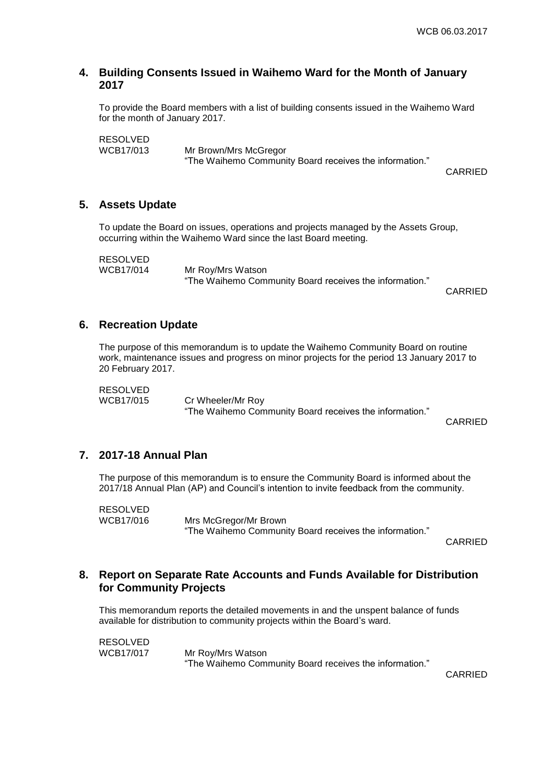#### **4. Building Consents Issued in Waihemo Ward for the Month of January 2017**

To provide the Board members with a list of building consents issued in the Waihemo Ward for the month of January 2017.

RESOLVED<br>WCB17/013 Mr Brown/Mrs McGregor "The Waihemo Community Board receives the information."

CARRIED

#### **5. Assets Update**

To update the Board on issues, operations and projects managed by the Assets Group, occurring within the Waihemo Ward since the last Board meeting.

RESOLVED<br>WCB17/014

Mr Roy/Mrs Watson "The Waihemo Community Board receives the information."

CARRIED

#### **6. Recreation Update**

The purpose of this memorandum is to update the Waihemo Community Board on routine work, maintenance issues and progress on minor projects for the period 13 January 2017 to 20 February 2017.

RESOLVED<br>WCB17/015

Cr Wheeler/Mr Roy "The Waihemo Community Board receives the information."

CARRIED

#### **7. 2017-18 Annual Plan**

The purpose of this memorandum is to ensure the Community Board is informed about the 2017/18 Annual Plan (AP) and Council's intention to invite feedback from the community.

RESOLVED WCB17/016 Mrs McGregor/Mr Brown "The Waihemo Community Board receives the information."

CARRIED

## **8. Report on Separate Rate Accounts and Funds Available for Distribution for Community Projects**

This memorandum reports the detailed movements in and the unspent balance of funds available for distribution to community projects within the Board's ward.

RESOLVED WCB17/017 Mr Roy/Mrs Watson "The Waihemo Community Board receives the information."

CARRIED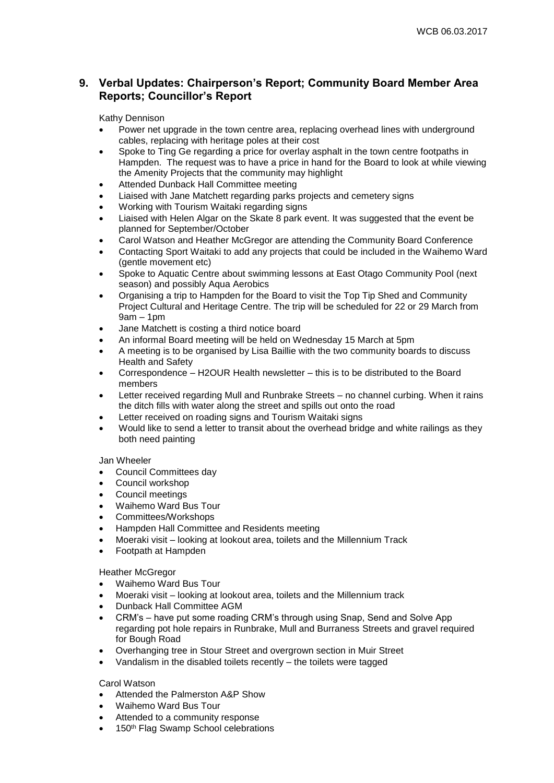## **9. Verbal Updates: Chairperson's Report; Community Board Member Area Reports; Councillor's Report**

#### Kathy Dennison

- Power net upgrade in the town centre area, replacing overhead lines with underground cables, replacing with heritage poles at their cost
- Spoke to Ting Ge regarding a price for overlay asphalt in the town centre footpaths in Hampden. The request was to have a price in hand for the Board to look at while viewing the Amenity Projects that the community may highlight
- Attended Dunback Hall Committee meeting
- Liaised with Jane Matchett regarding parks projects and cemetery signs
- Working with Tourism Waitaki regarding signs
- Liaised with Helen Algar on the Skate 8 park event. It was suggested that the event be planned for September/October
- Carol Watson and Heather McGregor are attending the Community Board Conference
- Contacting Sport Waitaki to add any projects that could be included in the Waihemo Ward (gentle movement etc)
- Spoke to Aquatic Centre about swimming lessons at East Otago Community Pool (next season) and possibly Aqua Aerobics
- Organising a trip to Hampden for the Board to visit the Top Tip Shed and Community Project Cultural and Heritage Centre. The trip will be scheduled for 22 or 29 March from 9am – 1pm
- Jane Matchett is costing a third notice board
- An informal Board meeting will be held on Wednesday 15 March at 5pm
- A meeting is to be organised by Lisa Baillie with the two community boards to discuss Health and Safety
- Correspondence H2OUR Health newsletter this is to be distributed to the Board members
- Letter received regarding Mull and Runbrake Streets no channel curbing. When it rains the ditch fills with water along the street and spills out onto the road
- Letter received on roading signs and Tourism Waitaki signs
- Would like to send a letter to transit about the overhead bridge and white railings as they both need painting

#### Jan Wheeler

- Council Committees day
- Council workshop
- Council meetings
- Waihemo Ward Bus Tour
- Committees/Workshops
- Hampden Hall Committee and Residents meeting
- Moeraki visit looking at lookout area, toilets and the Millennium Track
- Footpath at Hampden

#### Heather McGregor

- Waihemo Ward Bus Tour
- Moeraki visit looking at lookout area, toilets and the Millennium track
- Dunback Hall Committee AGM
- CRM's have put some roading CRM's through using Snap, Send and Solve App regarding pot hole repairs in Runbrake, Mull and Burraness Streets and gravel required for Bough Road
- Overhanging tree in Stour Street and overgrown section in Muir Street
- Vandalism in the disabled toilets recently the toilets were tagged

#### Carol Watson

- Attended the Palmerston A&P Show
- Waihemo Ward Bus Tour
- Attended to a community response
- 150<sup>th</sup> Flag Swamp School celebrations